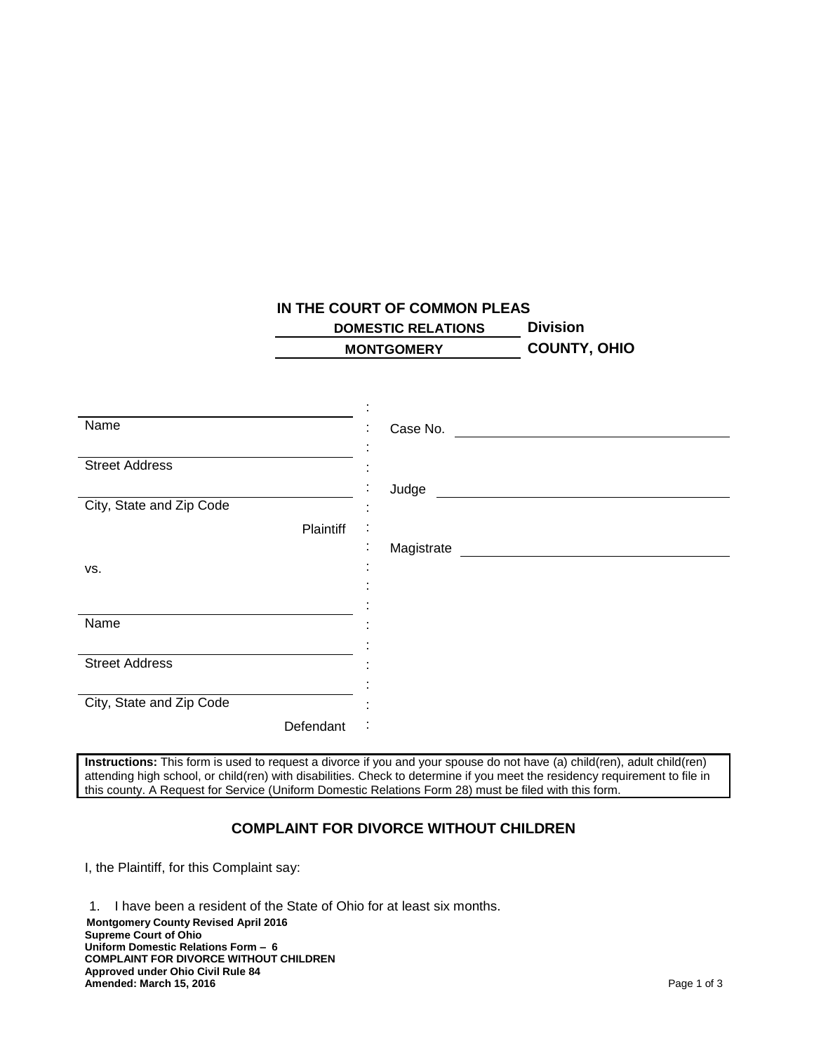## **IN THE COURT OF COMMON PLEAS**

 **DOMESTIC RELATIONS Division MONTGOMERY COUNTY, OHIO**

| Name                     | Case No.<br>٠   |
|--------------------------|-----------------|
|                          |                 |
| <b>Street Address</b>    |                 |
|                          | Judge           |
| City, State and Zip Code |                 |
| Plaintiff                | $\cdot$         |
|                          | Magistrate<br>٠ |
| VS.                      |                 |
|                          |                 |
|                          |                 |
| Name                     |                 |
|                          |                 |
| <b>Street Address</b>    |                 |
|                          |                 |
| City, State and Zip Code |                 |
| Defendant                | $\bullet$       |

**Instructions:** This form is used to request a divorce if you and your spouse do not have (a) child(ren), adult child(ren) attending high school, or child(ren) with disabilities. Check to determine if you meet the residency requirement to file in this county. A Request for Service (Uniform Domestic Relations Form 28) must be filed with this form.

## **COMPLAINT FOR DIVORCE WITHOUT CHILDREN**

I, the Plaintiff, for this Complaint say:

**Montgomery County Revised April 2016 Supreme Court of Ohio Uniform Domestic Relations Form – 6 COMPLAINT FOR DIVORCE WITHOUT CHILDREN Approved under Ohio Civil Rule 84 Amended: March 15, 2016** Page 1 of 3 1. I have been a resident of the State of Ohio for at least six months.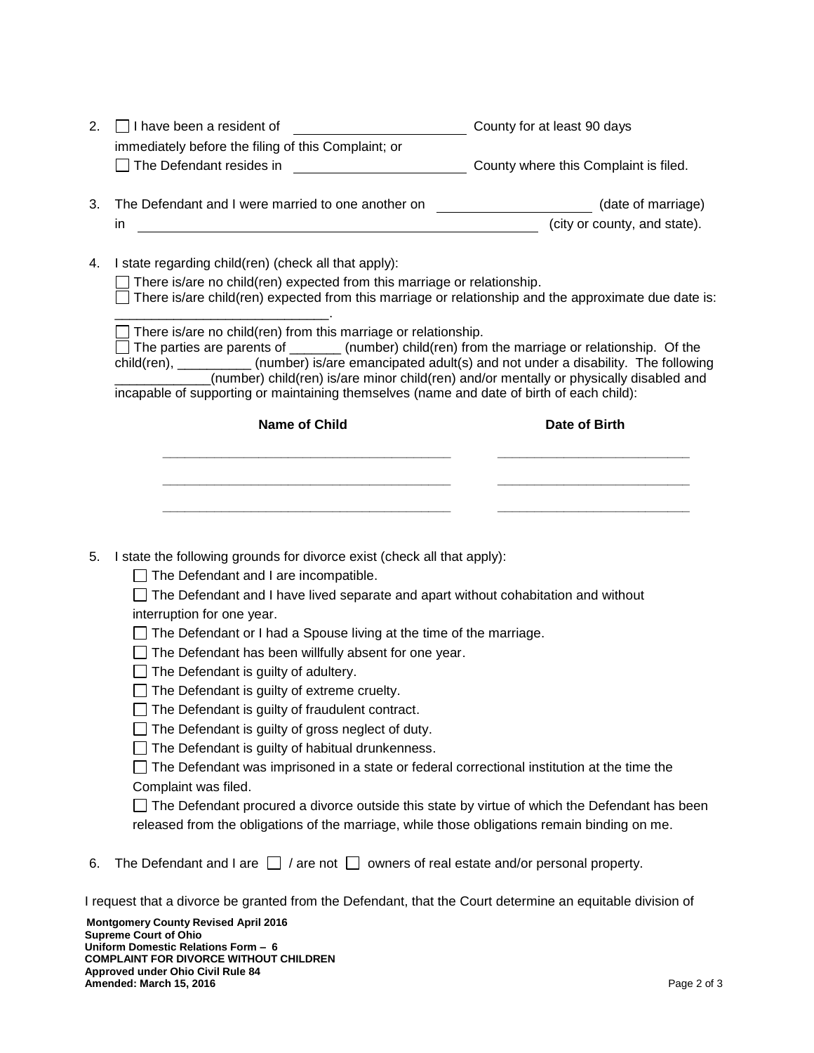| 2.                                                                                                      | $\Box$ I have been a resident of                                                                                                                                                                | County for at least 90 days           |  |
|---------------------------------------------------------------------------------------------------------|-------------------------------------------------------------------------------------------------------------------------------------------------------------------------------------------------|---------------------------------------|--|
|                                                                                                         | immediately before the filing of this Complaint; or                                                                                                                                             |                                       |  |
|                                                                                                         | The Defendant resides in<br><u> 1990 - Johann Barbara, martin a</u>                                                                                                                             | County where this Complaint is filed. |  |
| 3.                                                                                                      | The Defendant and I were married to one another on                                                                                                                                              | (date of marriage)                    |  |
|                                                                                                         |                                                                                                                                                                                                 |                                       |  |
|                                                                                                         | in.<br><u> 1989 - Johann Stoff, amerikansk politiker (* 1908)</u>                                                                                                                               | (city or county, and state).          |  |
| 4.                                                                                                      |                                                                                                                                                                                                 |                                       |  |
|                                                                                                         | I state regarding child(ren) (check all that apply):                                                                                                                                            |                                       |  |
|                                                                                                         | There is/are no child(ren) expected from this marriage or relationship.<br>There is/are child(ren) expected from this marriage or relationship and the approximate due date is:                 |                                       |  |
|                                                                                                         |                                                                                                                                                                                                 |                                       |  |
|                                                                                                         | There is/are no child(ren) from this marriage or relationship.                                                                                                                                  |                                       |  |
| $\Box$ The parties are parents of ________(number) child(ren) from the marriage or relationship. Of the |                                                                                                                                                                                                 |                                       |  |
|                                                                                                         | child(ren), ___________(number) is/are emancipated adult(s) and not under a disability. The following<br>(number) child(ren) is/are minor child(ren) and/or mentally or physically disabled and |                                       |  |
|                                                                                                         | incapable of supporting or maintaining themselves (name and date of birth of each child):                                                                                                       |                                       |  |
|                                                                                                         |                                                                                                                                                                                                 |                                       |  |
|                                                                                                         | <b>Name of Child</b>                                                                                                                                                                            | Date of Birth                         |  |
|                                                                                                         |                                                                                                                                                                                                 |                                       |  |
|                                                                                                         |                                                                                                                                                                                                 |                                       |  |
|                                                                                                         |                                                                                                                                                                                                 |                                       |  |
|                                                                                                         |                                                                                                                                                                                                 |                                       |  |
|                                                                                                         |                                                                                                                                                                                                 |                                       |  |
| 5.                                                                                                      | I state the following grounds for divorce exist (check all that apply):                                                                                                                         |                                       |  |
|                                                                                                         | The Defendant and I are incompatible.                                                                                                                                                           |                                       |  |
|                                                                                                         | $\Box$ The Defendant and I have lived separate and apart without cohabitation and without                                                                                                       |                                       |  |
|                                                                                                         | interruption for one year.                                                                                                                                                                      |                                       |  |
|                                                                                                         | $\Box$ The Defendant or I had a Spouse living at the time of the marriage.<br>The Defendant has been willfully absent for one year.                                                             |                                       |  |
|                                                                                                         |                                                                                                                                                                                                 |                                       |  |
|                                                                                                         | The Defendant is guilty of adultery.                                                                                                                                                            |                                       |  |
|                                                                                                         | $\Box$ The Defendant is guilty of extreme cruelty.                                                                                                                                              |                                       |  |
|                                                                                                         | $\Box$ The Defendant is quilty of fraudulent contract.                                                                                                                                          |                                       |  |
|                                                                                                         | The Defendant is guilty of gross neglect of duty.                                                                                                                                               |                                       |  |
|                                                                                                         | The Defendant is guilty of habitual drunkenness.                                                                                                                                                |                                       |  |
|                                                                                                         | The Defendant was imprisoned in a state or federal correctional institution at the time the                                                                                                     |                                       |  |
|                                                                                                         | Complaint was filed.                                                                                                                                                                            |                                       |  |
|                                                                                                         | The Defendant procured a divorce outside this state by virtue of which the Defendant has been                                                                                                   |                                       |  |
|                                                                                                         | released from the obligations of the marriage, while those obligations remain binding on me.                                                                                                    |                                       |  |
|                                                                                                         |                                                                                                                                                                                                 |                                       |  |
| 6.                                                                                                      | The Defendant and I are $\Box$ / are not $\Box$ owners of real estate and/or personal property.                                                                                                 |                                       |  |
|                                                                                                         | I request that a divorce be granted from the Defendant, that the Court determine an equitable division of                                                                                       |                                       |  |
|                                                                                                         | <b>Montgomery County Revised April 2016</b><br><b>Supreme Court of Ohio</b>                                                                                                                     |                                       |  |
|                                                                                                         | Uniform Domestic Relations Form - 6<br><b>COMPLAINT FOR DIVORCE WITHOUT CHILDREN</b>                                                                                                            |                                       |  |

**Approved under Ohio Civil Rule 84**